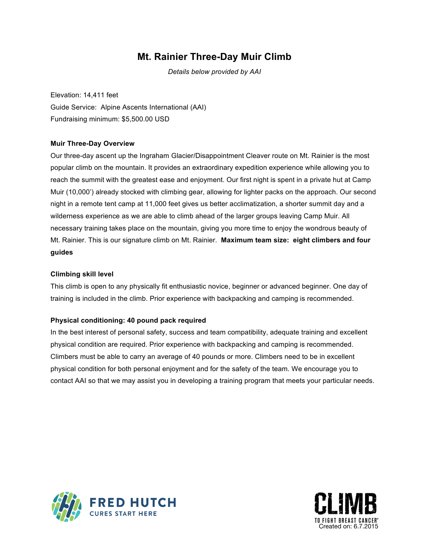## **Mt. Rainier Three-Day Muir Climb**

*Details below provided by AAI*

Elevation: 14,411 feet Guide Service: Alpine Ascents International (AAI) Fundraising minimum: \$5,500.00 USD

### **Muir Three-Day Overview**

Our three-day ascent up the Ingraham Glacier/Disappointment Cleaver route on Mt. Rainier is the most popular climb on the mountain. It provides an extraordinary expedition experience while allowing you to reach the summit with the greatest ease and enjoyment. Our first night is spent in a private hut at Camp Muir (10,000') already stocked with climbing gear, allowing for lighter packs on the approach. Our second night in a remote tent camp at 11,000 feet gives us better acclimatization, a shorter summit day and a wilderness experience as we are able to climb ahead of the larger groups leaving Camp Muir. All necessary training takes place on the mountain, giving you more time to enjoy the wondrous beauty of Mt. Rainier. This is our signature climb on Mt. Rainier. **Maximum team size: eight climbers and four guides**

#### **Climbing skill level**

This climb is open to any physically fit enthusiastic novice, beginner or advanced beginner. One day of training is included in the climb. Prior experience with backpacking and camping is recommended.

### **Physical conditioning: 40 pound pack required**

In the best interest of personal safety, success and team compatibility, adequate training and excellent physical condition are required. Prior experience with backpacking and camping is recommended. Climbers must be able to carry an average of 40 pounds or more. Climbers need to be in excellent physical condition for both personal enjoyment and for the safety of the team. We encourage you to contact AAI so that we may assist you in developing a training program that meets your particular needs.



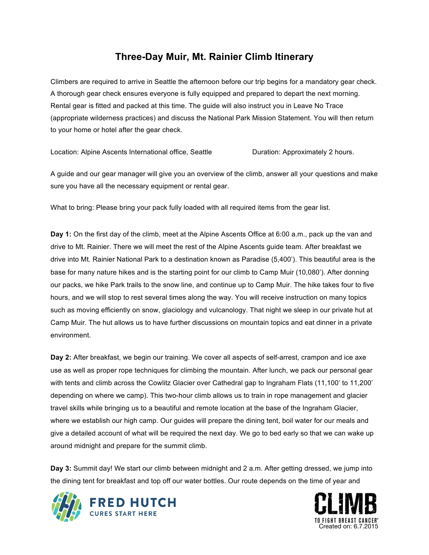### **Three-Day Muir, Mt. Rainier Climb Itinerary**

Climbers are required to arrive in Seattle the afternoon before our trip begins for a mandatory gear check. A thorough gear check ensures everyone is fully equipped and prepared to depart the next morning. Rental gear is fitted and packed at this time. The guide will also instruct you in Leave No Trace (appropriate wilderness practices) and discuss the National Park Mission Statement. You will then return to your home or hotel after the gear check.

Location: Alpine Ascents International office, Seattle **Duration: Approximately 2 hours.** 

A guide and our gear manager will give you an overview of the climb, answer all your questions and make sure you have all the necessary equipment or rental gear.

What to bring: Please bring your pack fully loaded with all required items from the gear list.

**Day 1:** On the first day of the climb, meet at the Alpine Ascents Office at 6:00 a.m., pack up the van and drive to Mt. Rainier. There we will meet the rest of the Alpine Ascents guide team. After breakfast we drive into Mt. Rainier National Park to a destination known as Paradise (5,400'). This beautiful area is the base for many nature hikes and is the starting point for our climb to Camp Muir (10,080'). After donning our packs, we hike Park trails to the snow line, and continue up to Camp Muir. The hike takes four to five hours, and we will stop to rest several times along the way. You will receive instruction on many topics such as moving efficiently on snow, glaciology and vulcanology. That night we sleep in our private hut at Camp Muir. The hut allows us to have further discussions on mountain topics and eat dinner in a private environment.

**Day 2:** After breakfast, we begin our training. We cover all aspects of self-arrest, crampon and ice axe use as well as proper rope techniques for climbing the mountain. After lunch, we pack our personal gear with tents and climb across the Cowlitz Glacier over Cathedral gap to Ingraham Flats (11,100' to 11,200' depending on where we camp). This two-hour climb allows us to train in rope management and glacier travel skills while bringing us to a beautiful and remote location at the base of the Ingraham Glacier, where we establish our high camp. Our guides will prepare the dining tent, boil water for our meals and give a detailed account of what will be required the next day. We go to bed early so that we can wake up around midnight and prepare for the summit climb.

**Day 3:** Summit day! We start our climb between midnight and 2 a.m. After getting dressed, we jump into the dining tent for breakfast and top off our water bottles. Our route depends on the time of year and



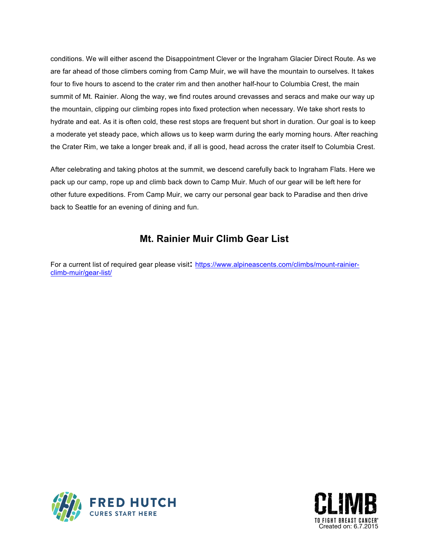conditions. We will either ascend the Disappointment Clever or the Ingraham Glacier Direct Route. As we are far ahead of those climbers coming from Camp Muir, we will have the mountain to ourselves. It takes four to five hours to ascend to the crater rim and then another half-hour to Columbia Crest, the main summit of Mt. Rainier. Along the way, we find routes around crevasses and seracs and make our way up the mountain, clipping our climbing ropes into fixed protection when necessary. We take short rests to hydrate and eat. As it is often cold, these rest stops are frequent but short in duration. Our goal is to keep a moderate yet steady pace, which allows us to keep warm during the early morning hours. After reaching the Crater Rim, we take a longer break and, if all is good, head across the crater itself to Columbia Crest.

After celebrating and taking photos at the summit, we descend carefully back to Ingraham Flats. Here we pack up our camp, rope up and climb back down to Camp Muir. Much of our gear will be left here for other future expeditions. From Camp Muir, we carry our personal gear back to Paradise and then drive back to Seattle for an evening of dining and fun.

### **Mt. Rainier Muir Climb Gear List**

For a current list of required gear please visit**:** [https://www.alpineascents.com/climbs/mount-rainier](https://www.alpineascents.com/climbs/mount-rainier-climb-muir/gear-list/)climb-muir/gear-list/



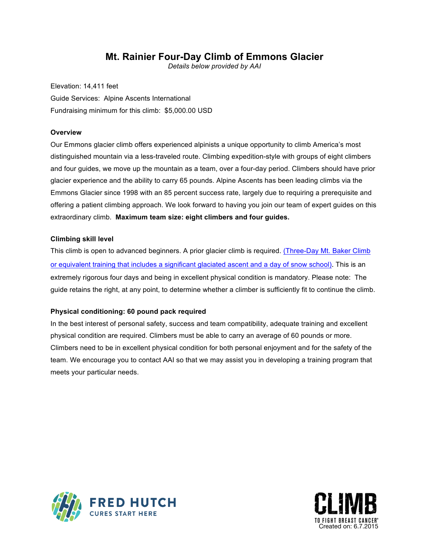### **Mt. Rainier Four-Day Climb of Emmons Glacier**

*Details below provided by AAI*

Elevation: 14,411 feet Guide Services: Alpine Ascents International Fundraising minimum for this climb: \$5,000.00 USD

#### **Overview**

Our Emmons glacier climb offers experienced alpinists a unique opportunity to climb America's most distinguished mountain via a less-traveled route. Climbing expedition-style with groups of eight climbers and four guides, we move up the mountain as a team, over a four-day period. Climbers should have prior glacier experience and the ability to carry 65 pounds. Alpine Ascents has been leading climbs via the Emmons Glacier since 1998 with an 85 percent success rate, largely due to requiring a prerequisite and offering a patient climbing approach. We look forward to having you join our team of expert guides on this extraordinary climb. **Maximum team size: eight climbers and four guides.** 

### **Climbing skill level**

This climb is open to advanced beginners. A prior glacier climb is required. (Three-Day Mt. Baker Climb or equivalent training that includes a significant glaciated ascent and a day of snow school). This is an extremely rigorous four days and being in excellent physical condition is mandatory. Please note: The guide retains the right, at any point, to determine whether a climber is sufficiently fit to continue the climb.

#### **Physical conditioning: 60 pound pack required**

In the best interest of personal safety, success and team compatibility, adequate training and excellent physical condition are required. Climbers must be able to carry an average of 60 pounds or more. Climbers need to be in excellent physical condition for both personal enjoyment and for the safety of the team. We encourage you to contact AAI so that we may assist you in developing a training program that meets your particular needs.



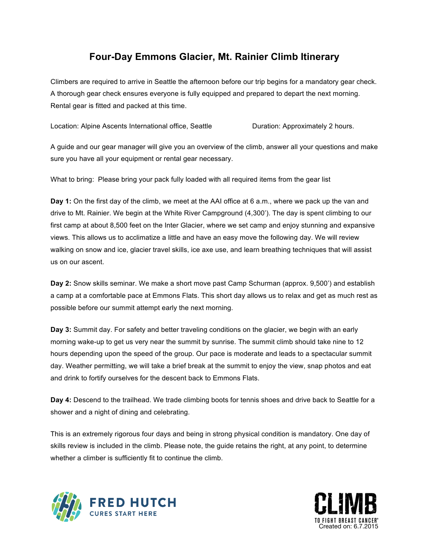# **Four-Day Emmons Glacier, Mt. Rainier Climb Itinerary**

Climbers are required to arrive in Seattle the afternoon before our trip begins for a mandatory gear check. A thorough gear check ensures everyone is fully equipped and prepared to depart the next morning. Rental gear is fitted and packed at this time.

Location: Alpine Ascents International office, Seattle **Duration: Approximately 2 hours.** 

A guide and our gear manager will give you an overview of the climb, answer all your questions and make sure you have all your equipment or rental gear necessary.

What to bring: Please bring your pack fully loaded with all required items from the gear list

**Day 1:** On the first day of the climb, we meet at the AAI office at 6 a.m., where we pack up the van and drive to Mt. Rainier. We begin at the White River Campground (4,300'). The day is spent climbing to our first camp at about 8,500 feet on the Inter Glacier, where we set camp and enjoy stunning and expansive views. This allows us to acclimatize a little and have an easy move the following day. We will review walking on snow and ice, glacier travel skills, ice axe use, and learn breathing techniques that will assist us on our ascent.

**Day 2:** Snow skills seminar. We make a short move past Camp Schurman (approx. 9,500') and establish a camp at a comfortable pace at Emmons Flats. This short day allows us to relax and get as much rest as possible before our summit attempt early the next morning.

**Day 3:** Summit day. For safety and better traveling conditions on the glacier, we begin with an early morning wake-up to get us very near the summit by sunrise. The summit climb should take nine to 12 hours depending upon the speed of the group. Our pace is moderate and leads to a spectacular summit day. Weather permitting, we will take a brief break at the summit to enjoy the view, snap photos and eat and drink to fortify ourselves for the descent back to Emmons Flats.

**Day 4:** Descend to the trailhead. We trade climbing boots for tennis shoes and drive back to Seattle for a shower and a night of dining and celebrating.

This is an extremely rigorous four days and being in strong physical condition is mandatory. One day of skills review is included in the climb. Please note, the guide retains the right, at any point, to determine whether a climber is sufficiently fit to continue the climb.